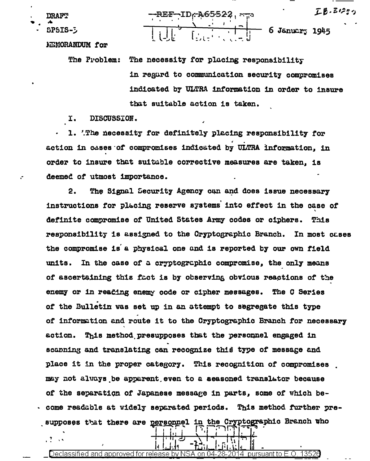エロ・ミロコ

**DRAFT** 

SPSIS-5

 $\frac{1}{2}$   $\rightarrow$ 

<del>د بند</del> بـ REF - ID<sub>I</sub> 

**NEMORANDUM** for

The Problem: The necessity for plucing responsibility in regard to communication security compromises indicated by ULTRA information in order to insure that suitable action is taken.

I. DISCUSSION.

1. The necessity for definitely placing responsibility for action in cases of compromises indicated by ULTRA information, in order to insure that suitable corrective measures are taken. is deemed of utmost importance.

 $2.$ The Signal Security Agency can and does issue necessary instructions for placing reserve systems into effect in the case of definite compromise of United States Army codes or ciphers. This responsibility is assigned to the Cryptographic Branch. In most cases the compromise is a physical one and is reported by our own field In the case of a cryptographic compromise, the only means units. of ascertaining this fact is by observing obvious reactions of the enemy or in reading enemy code or cipher messages. The C Series of the Bulletin was set up in an attempt to segregate this type of information and route it to the Cryptographic Branch for necessary  $\epsilon$ ction. This method presupposes that the personnel engaged in scanning and translating can recognize this type of message and place it in the proper category. This recognition of compromises may not always be apparent even to a seasoned translator because of the separation of Japanese message in parts, some of which become readable at widely separated periods. This method further presupposes that there are personnel in the Cryptographic Branch tho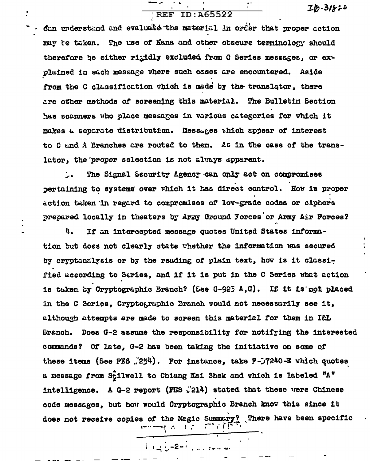## **REF ID: A65522**

 $Ib-31822$ 

can understand and evaluate the material in order that proper action may te taken. The use of Kana and other obscure terminology should therefore be either rigidly excluded from C Series messages, or explained in each message where such cases are encountered. Aside from the C classification which is made by the translator, there are other methods of screening this material. The Bulletin Section has scanners who place messages in various categories for which it makes a separate distribution. Hessages thich appear of interest to C and A Branches are routed to them. As in the case of the translator, the proper selection is not always apparent.

The Signal Security Agency can only act on compromises pertaining to systems over which it has direct control. How is proper action taken in regard to compromises of low-grade codes or ciphers prepared locally in theaters by Army Ground Forces or Army Air Forces?

If an intercepted message quotes United States informa-4. tion but does not clearly state whether the information was secured by cryptanalysis or by the reading of plain text, how is it classified according to Saries, and if it is put in the C Series what action is taken by Cryptographic Branch? (See C-925 A,G). If it is not placed in the C Series. Cryptographic Branch would not necessarily see it. although attempts are made to screen this material for them in I&L Branch. Does G-2 assume the responsibility for notifying the interested commands? Of late, G-2 has been taking the initiative on some of these items (See FES  $/254$ ). For instance, take F- $/240$ -E which quotes a message from Stilwell to Chiang Kai Shek and which is labeled "A" intelligence. A G-2 report (FES  $_n$ 214) stated that these vere Chinese code messages, but how would Cryptographic Branch know this since it does not receive copies of the Magic Summary? There have been specific<br> $\begin{bmatrix} 1 & 1 \\ 1 & 1 \end{bmatrix}$ .

 $\frac{1}{2}$  + 2 =  $\frac{1}{2}$  = 2 =  $\frac{1}{2}$  =  $\frac{1}{2}$  =  $\frac{1}{2}$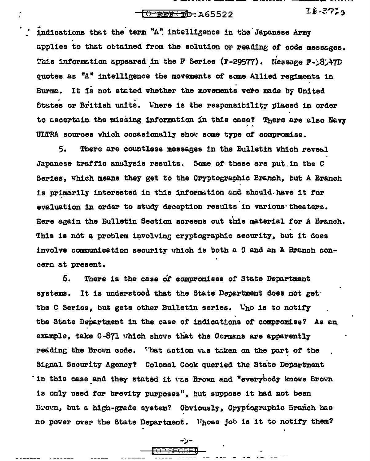**TOPREPRET**D: A65522

 $IE-372.5$ 

indications that the term "A" intelligence in the Japanese Army applies to that obtained from the solution or reading of code messages. This information appeared in the F Series (F-29577). Nessage  $F-3.47D$ quotes as "A" intelligence the movements of some Allied regiments in It is not stated whether the movements were made by United **Eurne.** States or British units. Where is the responsibility placed in order to ascertain the missing information in this case? There are also Navy ULTRA sources which occasionally show some type of compromise.

There are countless messages in the Bulletin which reveal 5. Japanese traffic analysis results. Some of these are put in the C Series, which means they get to the Cryptographic Branch, but A Branch is primarily interested in this information and should have it for evaluation in order to study deception results in various theaters. Here again the Bulletin Section screens out this material for A Branch. This is not a problem involving cryptographic security, but it does involve communication security which is both a C and an A Branch concern at present.

There is the case of compromises of State Department 6. systems. It is understood that the State Department does not getthe C Series, but gets other Bulletin series. Who is to notify the State Department in the case of indications of compromise? As an example, take C-871 which shows that the Germans are apparently resding the Brown code. That action was taken on the part of the Signal Security Agency? Colonel Cook queried the State Department in this case and they stated it was Brown and "everybody knows Brown is only used for brevity purposes", but suppose it had not been Brown, but a high-grade system? Obviously, Cryptographic Eranch has no power over the State Department. Whose job is it to notify them?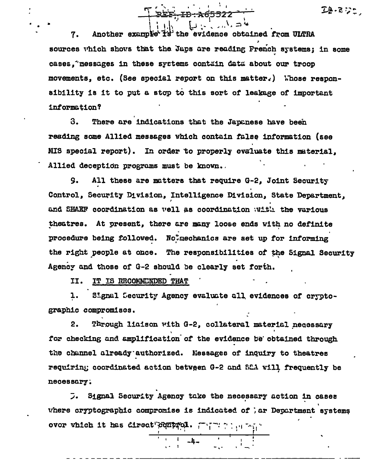Another example is the evidence obtained from ULTRA 7. sources which shows that the Japs are reading French systems; in some cases, "messages in these systems contain data about our troop movements, etc. (See special report on this matter.) Whose responsibility is it to put a stop to this sort of leakage of important information?

3. There are indications that the Japanese have been reading some Allied messages which contain false information (see MIS special report). In order to properly evaluate this material, Allied deception programs must be known.

All these are matters that require G-2, Joint Security 9. Control, Security Division, Intelligence Division, State Department. and SHAEF coordination as vell as coordination with the various theatres. At present, there are many loose ends with no definite procedure being followed. Notmechanics are set up for informing the right people at once. The responsibilities of the Signal Security Agency and those of G-2 should be clearly set forth.

II. IT IS RECOMMENDED THAT

Signal Security Agency evaluate all evidences of crypto-1. graphic compromises.

 $2.$ Through liaison with G-2, collateral material necessary for checking and amplification of the evidence be obtained through the channel already authorized. Messages of inquiry to theatres requiring coordinated action between G-2 and S2A will frequently be necessary;

Signal Security Agency take the necessary action in cases ラ。 where cryptographic compromise is indicated of ; ar Department systems over which it has direct control. There were

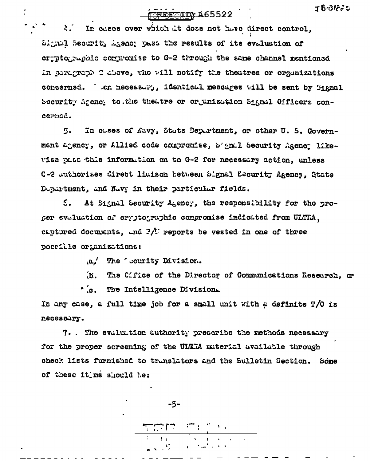## FOREFORD: A65522

 $\mathbf{R}$ In cases over which at does not have direct control. Signal Securit, Agency pass the results of its evaluation of cryptographe compromise to G-2 through the same channel mentioned In paragraph 2 above, the will notify the theatres or organizations concerned. ' .cn necessary, identical messages will be sent by Mignal Security Arency to the theatre or or enization Signal Officers concernod.

In cases of Navy, State Department, or other U. S. Govern-ment agency, or Allied code compromise, b'andl Security Agency likewise pass this information on to G-2 for necessary action, unless C-2 Juthorizes direct liuison hetween Slgnal Security Agency. State Department, and Nevy in their particular fields.

 $\mathcal{L}$ . At Signal Security Agency, the responsibility for the proper evaluation of cryptographic compromise indicated from ULTRA, captured documents, and  $2/5$  reports be vested in one of three possille organizations:

a. The Courity Division.

 $\mathbf{B}$ The Cifice of the Director of Communications Research, or

'.c. The Intelligence Division.

In any case, a full time job for a small unit with a definite T/O is necessary.

7. The evaluation duthority prescribe the methods necessary for the proper screening of the ULTRA material available through check lists furnished to translators and the Bulletin Section. Some of these it ms should he:

-5-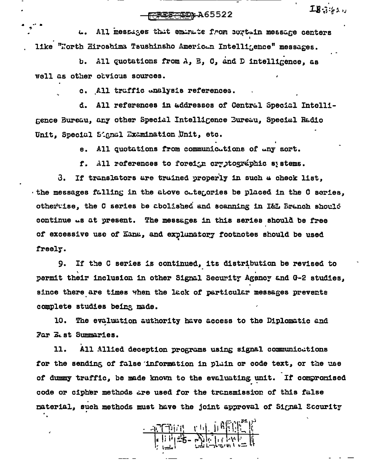FOREFORD A65522

 $IB341$ 

All messages that emanate from cortain message centers  $\mathbf{L}$ like "North Hiroshima Tsushinsho American Intelligence" messages.

All quotations from A, B, C, and D intelligence, as ъ. well as other obvious sources.

c. All traffic unalysis references.

All references in addresses of Central Special Intelliđ. mence Bureau, any other Special Intelligence Bureau, Special Radio Unit, Special Signal Examination Unit, etc.

> All quotations from communicutions of uny sort. е.

f. All references to foreign cryptographic systems.

If translators are truined properly in such a check list, ვ. the messages falling in the above cutegories be placed in the C series, othertise, the C series be abolished and scanning in I&L Branch should continue as at present. The messages in this series should be free of excessive use of Kana, and explunatory footnotes should be used freely.

If the C series is continued, its distribution be revised to 9. permit their inclusion in other Signal Security Agency and G-2 studies, since there are times when the lack of particular messages prevents complete studies being made.

The evaluation authority have access to the Diplomatic and 10. Far E.st Summaries.

All Allied deception programs using signal communications 11. for the sending of false information in plain or code text, or the use of dummy traffic, be made known to the evaluating unit. If compromised code or cipher methods are used for the transmission of this false material, such methods must have the joint approval of Signal Scourity